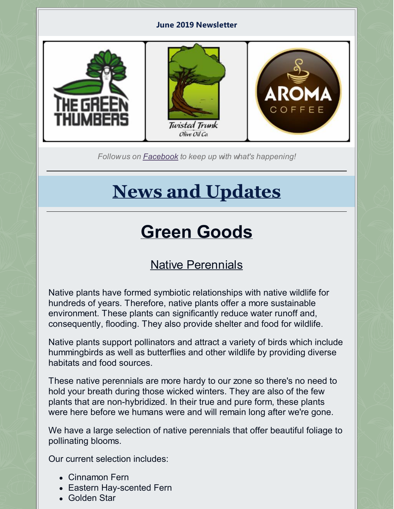#### **June 2019 Newsletter**



*Followus on [Facebook](https://www.facebook.com/thegreenthumbers/?rf=407299426138313) to keep up with what's happening!*

# **News and Updates**

# **Green Goods**

# Native Perennials

Native plants have formed symbiotic relationships with native wildlife for hundreds of years. Therefore, native plants offer a more sustainable environment. These plants can significantly reduce water runoff and, consequently, flooding. They also provide shelter and food for wildlife.

Native plants support pollinators and attract a variety of birds which include hummingbirds as well as butterflies and other wildlife by providing diverse habitats and food sources.

These native perennials are more hardy to our zone so there's no need to hold your breath during those wicked winters. They are also of the few plants that are non-hybridized. In their true and pure form, these plants were here before we humans were and will remain long after we're gone.

We have a large selection of native perennials that offer beautiful foliage to pollinating blooms.

Our current selection includes:

- Cinnamon Fern
- Eastern Hay-scented Fern
- Golden Star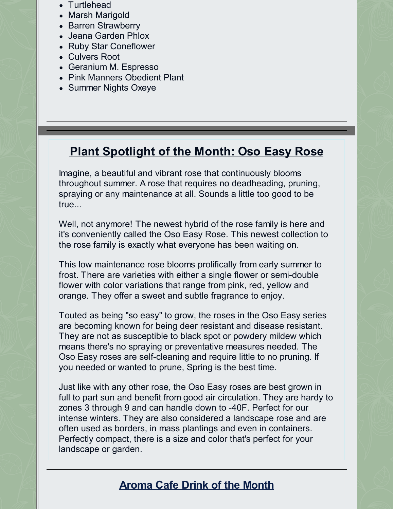- Turtlehead
- Marsh Marigold
- Barren Strawberry
- Jeana Garden Phlox
- Ruby Star Coneflower
- Culvers Root
- Geranium M. Espresso
- Pink Manners Obedient Plant
- Summer Nights Oxeve

# **Plant Spotlight of the Month: Oso Easy Rose**

Imagine, a beautiful and vibrant rose that continuously blooms throughout summer. A rose that requires no deadheading, pruning, spraying or any maintenance at all. Sounds a little too good to be true...

Well, not anymore! The newest hybrid of the rose family is here and it's conveniently called the Oso Easy Rose. This newest collection to the rose family is exactly what everyone has been waiting on.

This low maintenance rose blooms prolifically from early summer to frost. There are varieties with either a single flower or semi-double flower with color variations that range from pink, red, yellow and orange. They offer a sweet and subtle fragrance to enjoy.

Touted as being "so easy" to grow, the roses in the Oso Easy series are becoming known for being deer resistant and disease resistant. They are not as susceptible to black spot or powdery mildew which means there's no spraying or preventative measures needed. The Oso Easy roses are self-cleaning and require little to no pruning. If you needed or wanted to prune, Spring is the best time.

Just like with any other rose, the Oso Easy roses are best grown in full to part sun and benefit from good air circulation. They are hardy to zones 3 through 9 and can handle down to -40F. Perfect for our intense winters. They are also considered a landscape rose and are often used as borders, in mass plantings and even in containers. Perfectly compact, there is a size and color that's perfect for your landscape or garden.

## **Aroma Cafe Drink of the Month**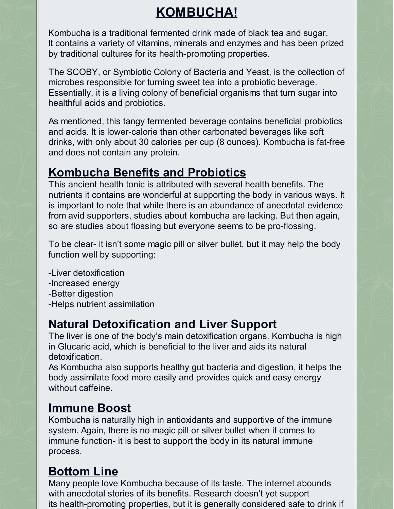# **KOMBUCHA!**

Kombucha is a traditional fermented drink made of black tea and sugar. It contains a variety of vitamins, minerals and enzymes and has been prized by traditional cultures for its health-promoting properties.

The SCOBY, or Symbiotic Colony of Bacteria and Yeast, is the collection of microbes responsible for turning sweet tea into a probiotic beverage. Essentially, it is a living colony of beneficial organisms that turn sugar into healthful acids and probiotics.

As mentioned, this tangy fermented beverage contains beneficial probiotics and acids. It is lower-calorie than other carbonated beverages like soft drinks, with only about 30 calories per cup (8 ounces). Kombucha is fat-free and does not contain any protein.

# **Kombucha Benefits and Probiotics**

This ancient health tonic is attributed with several health benefits. The nutrients it contains are wonderful at supporting the body in various ways. It is important to note that while there is an abundance of anecdotal evidence from avid supporters, studies about kombucha are lacking. But then again, so are studies about flossing but everyone seems to be pro-flossing.

To be clear- it isn't some magic pill or silver bullet, but it may help the body function well by supporting:

-Liver detoxification -Increased energy -Better digestion -Helps nutrient assimilation

# **Natural Detoxification and Liver Support**

The liver is one of the body's main detoxification organs. Kombucha is high in Glucaric acid, which is beneficial to the liver and aids its natural detoxification.

As Kombucha also supports healthy gut bacteria and digestion, it helps the body assimilate food more easily and provides quick and easy energy without caffeine.

## **Immune Boost**

Kombucha is naturally high in antioxidants and supportive of the immune system. Again, there is no magic pill or silver bullet when it comes to immune function- it is best to support the body in its natural immune process.

# **Bottom Line**

Many people love Kombucha because of its taste. The internet abounds with anecdotal stories of its benefits. Research doesn't yet support its health-promoting properties, but it is generally considered safe to drink if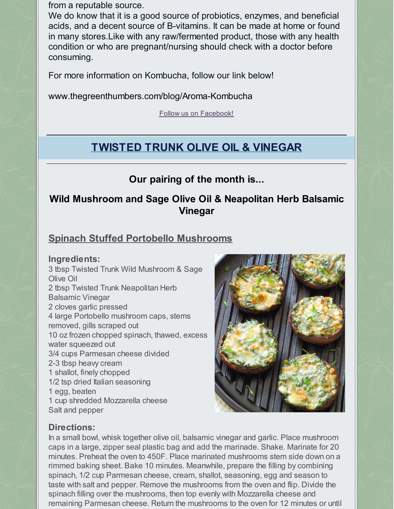from a reputable source.

We do know that it is a good source of probiotics, enzymes, and beneficial acids, and a decent source of B-vitamins. It can be made at home or found in many stores.Like with any raw/fermented product, those with any health condition or who are pregnant/nursing should check with a doctor before consuming.

For more information on Kombucha, follow our link below!

[www.thegreenthumbers.com/blog/Aroma-Kombucha](https://www.thegreenthumbers.com/blog/Aroma-Kombucha)

Follow us on [Facebook!](https://www.facebook.com/aromacoffeeatthegreenthumbers/)

## **TWISTED TRUNK OLIVE OIL & VINEGAR**

#### **Our pairing of the month is...**

#### **Wild Mushroom and Sage Olive Oil & Neapolitan Herb Balsamic Vinegar**

#### **Spinach Stuffed Portobello Mushrooms**

#### **Ingredients:**

3 tbsp Twisted Trunk Wild Mushroom & Sage Olive Oil 2 tbsp Twisted Trunk Neapolitan Herb Balsamic Vinegar 2 cloves garlic pressed 4 large Portobello mushroom caps, stems removed, gills scraped out 10 oz frozen chopped spinach, thawed, excess water squeezed out 3/4 cups Parmesan cheese divided 2-3 tbsp heavy cream 1 shallot, finely chopped 1/2 tsp dried Italian seasoning 1 egg, beaten 1 cup shredded Mozzarella cheese Salt and pepper



#### **Directions:**

In a small bowl, whisk together olive oil, balsamic vinegar and garlic. Place mushroom caps in a large, zipper seal plastic bag and add the marinade. Shake. Marinate for 20 minutes. Preheat the oven to 450F. Place marinated mushrooms stem side down on a rimmed baking sheet. Bake 10 minutes. Meanwhile, prepare the filling by combining spinach, 1/2 cup Parmesan cheese, cream, shallot, seasoning, egg and season to taste with salt and pepper. Remove the mushrooms from the oven and flip. Divide the spinach filling over the mushrooms, then top evenly with Mozzarella cheese and remaining Parmesan cheese. Return the mushrooms to the oven for 12 minutes or until